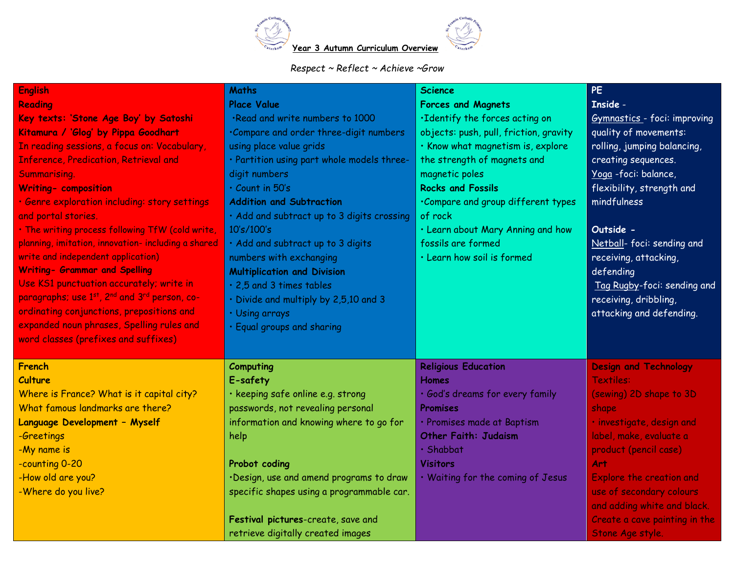

## *Respect ~ Reflect ~ Achieve ~Grow*

| <b>English</b>                                                                    | <b>Maths</b>                               | <b>Science</b>                         | <b>PE</b>                       |
|-----------------------------------------------------------------------------------|--------------------------------------------|----------------------------------------|---------------------------------|
| <b>Reading</b>                                                                    | <b>Place Value</b>                         | <b>Forces and Magnets</b>              | <b>Inside -</b>                 |
| Key texts: 'Stone Age Boy' by Satoshi                                             | .Read and write numbers to 1000            | .Identify the forces acting on         | Gymnastics - foci: improving    |
| Kitamura / 'Glog' by Pippa Goodhart                                               | .Compare and order three-digit numbers     | objects: push, pull, friction, gravity | quality of movements:           |
| In reading sessions, a focus on: Vocabulary,                                      | using place value grids                    | · Know what magnetism is, explore      | rolling, jumping balancing,     |
| <b>Inference, Predication, Retrieval and</b>                                      | · Partition using part whole models three- | the strength of magnets and            | creating sequences.             |
| Summarising.                                                                      | digit numbers                              | magnetic poles                         | Yoga-foci: balance,             |
| <b>Writing- composition</b>                                                       | $\cdot$ Count in 50's                      | <b>Rocks and Fossils</b>               | flexibility, strength and       |
| · Genre exploration including: story settings                                     | <b>Addition and Subtraction</b>            | .Compare and group different types     | mindfulness                     |
| and portal stories.                                                               | · Add and subtract up to 3 digits crossing | of rock                                |                                 |
| . The writing process following TfW (cold write,                                  | 10's/100's                                 | . Learn about Mary Anning and how      | Outside -                       |
| planning, imitation, innovation- including a shared                               | · Add and subtract up to 3 digits          | fossils are formed                     | Netball- foci: sending and      |
| write and independent application)                                                | numbers with exchanging                    | · Learn how soil is formed             | receiving, attacking,           |
| <b>Writing- Grammar and Spelling</b>                                              | <b>Multiplication and Division</b>         |                                        | defending                       |
| Use KS1 punctuation accurately; write in                                          | . 2,5 and 3 times tables                   |                                        | Tag Rugby-foci: sending and     |
| paragraphs; use 1 <sup>st</sup> , 2 <sup>nd</sup> and 3 <sup>rd</sup> person, co- | · Divide and multiply by 2,5,10 and 3      |                                        | receiving, dribbling,           |
| ordinating conjunctions, prepositions and                                         | · Using arrays                             |                                        | attacking and defending.        |
| expanded noun phrases, Spelling rules and                                         | · Equal groups and sharing                 |                                        |                                 |
| word classes (prefixes and suffixes)                                              |                                            |                                        |                                 |
| French                                                                            | <b>Computing</b>                           | <b>Religious Education</b>             | <b>Design and Technology</b>    |
| <b>Culture</b>                                                                    | E-safety                                   | <b>Homes</b>                           | <b>Textiles:</b>                |
| Where is France? What is it capital city?                                         | · keeping safe online e.g. strong          | · God's dreams for every family        | (sewing) 2D shape to 3D         |
| What famous landmarks are there?                                                  | passwords, not revealing personal          | Promises                               | shape                           |
| Language Development - Myself                                                     | information and knowing where to go for    | · Promises made at Baptism             | · investigate, design and       |
| -Greetings                                                                        | help                                       | <b>Other Faith: Judaism</b>            | label, make, evaluate a         |
| -My name is                                                                       |                                            | $\cdot$ Shabbat                        | product (pencil case)           |
| -counting 0-20                                                                    | Probot coding                              | <b>Visitors</b>                        | Art                             |
| -How old are you?                                                                 | ·Design, use and amend programs to draw    | . Waiting for the coming of Jesus      | <b>Explore the creation and</b> |
| -Where do you live?                                                               | specific shapes using a programmable car.  |                                        | use of secondary colours        |
|                                                                                   |                                            |                                        | and adding white and black.     |
|                                                                                   | Festival pictures-create, save and         |                                        | Create a cave painting in the   |
|                                                                                   | retrieve digitally created images          |                                        | Stone Age style.                |